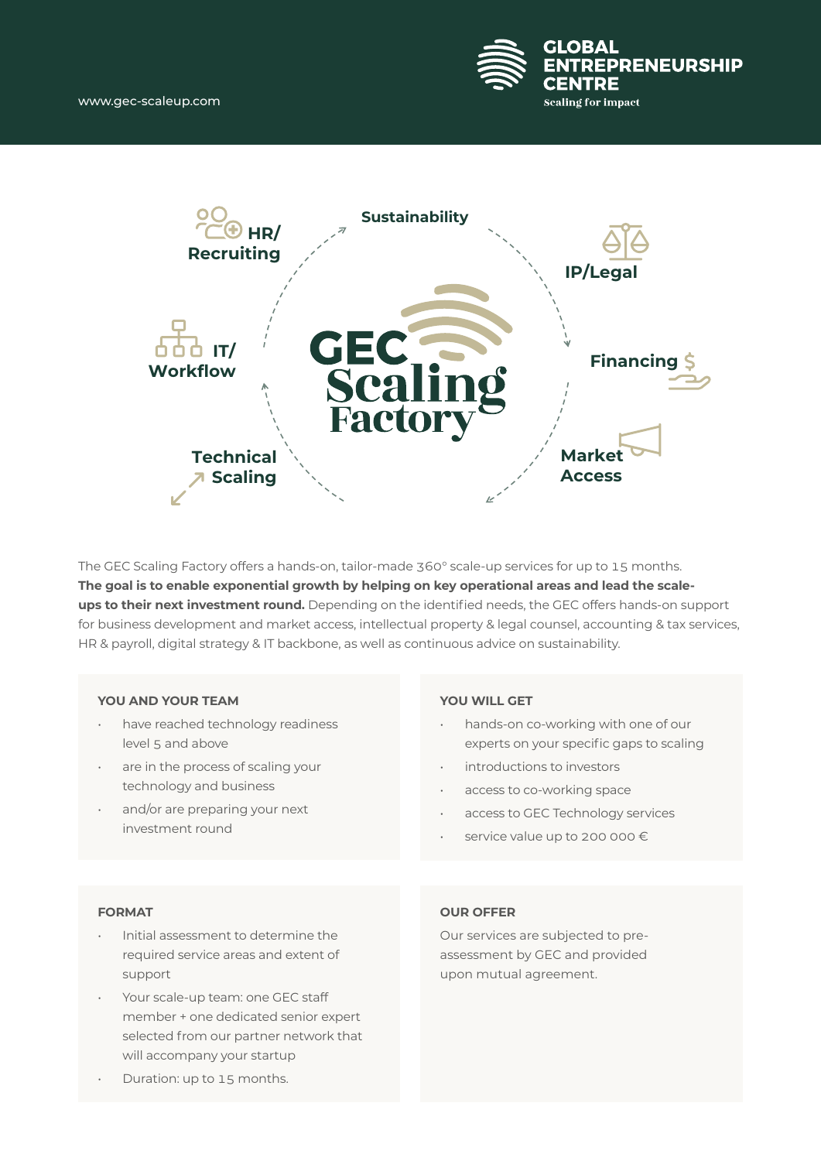



The GEC Scaling Factory offers a hands-on, tailor-made 360° scale-up services for up to 15 months. **The goal is to enable exponential growth by helping on key operational areas and lead the scaleups to their next investment round.** Depending on the identified needs, the GEC offers hands-on support for business development and market access, intellectual property & legal counsel, accounting & tax services, HR & payroll, digital strategy & IT backbone, as well as continuous advice on sustainability.

#### **YOU AND YOUR TEAM**

- have reached technology readiness level 5 and above
- are in the process of scaling your technology and business
- and/or are preparing your next investment round

#### **YOU WILL GET**

- hands-on co-working with one of our experts on your specific gaps to scaling
- introductions to investors
- access to co-working space
- access to GEC Technology services
- service value up to 200 000 €

#### **FORMAT**

- Initial assessment to determine the required service areas and extent of support
- Your scale-up team: one GEC staff member + one dedicated senior expert selected from our partner network that will accompany your startup

## **OUR OFFER**

Our services are subjected to preassessment by GEC and provided upon mutual agreement.

• Duration: up to 15 months.